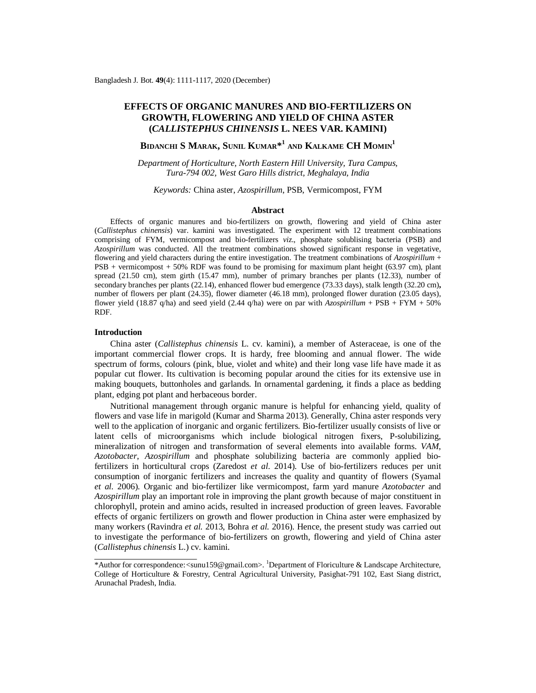# **EFFECTS OF ORGANIC MANURES AND BIO-FERTILIZERS ON GROWTH, FLOWERING AND YIELD OF CHINA ASTER (***CALLISTEPHUS CHINENSIS* **L. NEES VAR. KAMINI)**

# **BIDANCHI S MARAK, SUNIL KUMAR\* 1 AND KALKAME CH MOMIN<sup>1</sup>**

*Department of Horticulture, North Eastern Hill University, Tura Campus, Tura-794 002, West Garo Hills district, Meghalaya, India*

#### *Keywords:* China aster, *Azospirillum*, PSB, Vermicompost, FYM

### **Abstract**

Effects of organic manures and bio-fertilizers on growth, flowering and yield of China aster (*Callistephus chinensis*) var. kamini was investigated. The experiment with 12 treatment combinations comprising of FYM, vermicompost and bio-fertilizers *viz*., phosphate solublising bacteria (PSB) and *Azospirillum* was conducted. All the treatment combinations showed significant response in vegetative, flowering and yield characters during the entire investigation. The treatment combinations of *Azospirillum* + PSB + vermicompost + 50% RDF was found to be promising for maximum plant height (63.97 cm), plant spread (21.50 cm), stem girth (15.47 mm), number of primary branches per plants (12.33), number of secondary branches per plants (22.14), enhanced flower bud emergence (73.33 days), stalk length (32.20 cm)**,**  number of flowers per plant (24.35), flower diameter (46.18 mm), prolonged flower duration (23.05 days), flower yield (18.87 q/ha) and seed yield (2.44 q/ha) were on par with *Azospirillum* + PSB + FYM + 50% RDF.

## **Introduction**

China aster (*Callistephus chinensis* L. cv. kamini), a member of Asteraceae, is one of the important commercial flower crops. It is hardy, free blooming and annual flower. The wide spectrum of forms, colours (pink, blue, violet and white) and their long vase life have made it as popular cut flower. Its cultivation is becoming popular around the cities for its extensive use in making bouquets, buttonholes and garlands. In ornamental gardening, it finds a place as bedding plant, edging pot plant and herbaceous border.

Nutritional management through organic manure is helpful for enhancing yield, quality of flowers and vase life in marigold (Kumar and Sharma 2013). Generally, China aster responds very well to the application of inorganic and organic fertilizers. Bio-fertilizer usually consists of live or latent cells of microorganisms which include biological nitrogen fixers, P-solubilizing, mineralization of nitrogen and transformation of several elements into available forms. *VAM*, *Azotobacter*, *Azospirillum* and phosphate solubilizing bacteria are commonly applied biofertilizers in horticultural crops (Zaredost *et al*. 2014). Use of bio-fertilizers reduces per unit consumption of inorganic fertilizers and increases the quality and quantity of flowers (Syamal *et al.* 2006). Organic and bio-fertilizer like vermicompost, farm yard manure *Azotobacter* and *Azospirillum* play an important role in improving the plant growth because of major constituent in chlorophyll, protein and amino acids, resulted in increased production of green leaves. Favorable effects of organic fertilizers on growth and flower production in China aster were emphasized by many workers (Ravindra *et al.* 2013, Bohra *et al.* 2016). Hence, the present study was carried out to investigate the performance of bio-fertilizers on growth, flowering and yield of China aster (*Callistephus chinensis* L.) cv. kamini.

<sup>\*</sup>Author for correspondence:<[sunu159@gmail.com>](mailto:sunu159@gmail.com). <sup>1</sup>Department of Floriculture & Landscape Architecture, College of Horticulture & Forestry, Central Agricultural University, Pasighat-791 102, East Siang district, Arunachal Pradesh, India.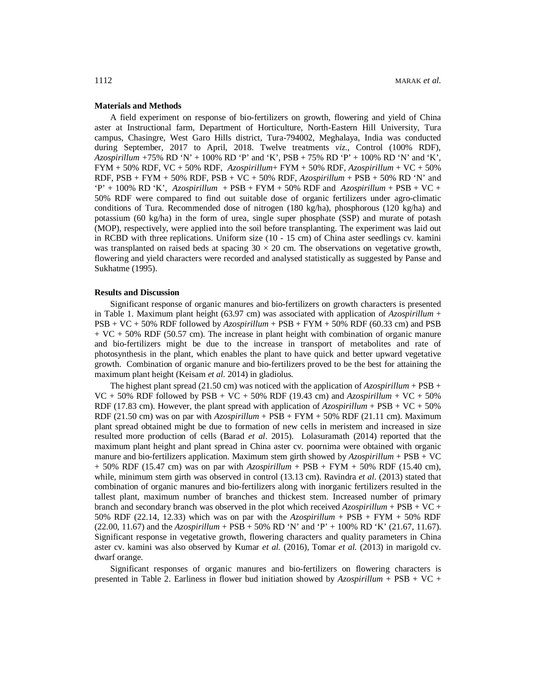# **Materials and Methods**

A field experiment on response of bio-fertilizers on growth, flowering and yield of China aster at Instructional farm, Department of Horticulture, North-Eastern Hill University, Tura campus, Chasingre, West Garo Hills district, Tura-794002, Meghalaya, India was conducted during September, 2017 to April, 2018. Twelve treatments *viz.,* Control (100% RDF), *Azospirillum +*75% RD 'N' + 100% RD 'P' and 'K', PSB + 75% RD 'P' + 100% RD 'N' and 'K', FYM + 50% RDF, VC + 50% RDF, *Azospirillum*+ FYM + 50% RDF, *Azospirillum* + VC + 50% RDF, PSB + FYM + 50% RDF, PSB + VC + 50% RDF, *Azospirillum* + PSB + 50% RD 'N' and 'P' + 100% RD 'K', *Azospirillum* + PSB + FYM + 50% RDF and *Azospirillum* + PSB + VC + 50% RDF were compared to find out suitable dose of organic fertilizers under agro-climatic conditions of Tura. Recommended dose of nitrogen (180 kg/ha), phosphorous (120 kg/ha) and potassium (60 kg/ha) in the form of urea, single super phosphate (SSP) and murate of potash (MOP), respectively, were applied into the soil before transplanting. The experiment was laid out in RCBD with three replications. Uniform size (10 - 15 cm) of China aster seedlings cv. kamini was transplanted on raised beds at spacing  $30 \times 20$  cm. The observations on vegetative growth, flowering and yield characters were recorded and analysed statistically as suggested by Panse and Sukhatme (1995).

#### **Results and Discussion**

Significant response of organic manures and bio-fertilizers on growth characters is presented in Table 1. Maximum plant height (63.97 cm) was associated with application of *Azospirillum* + PSB + VC + 50% RDF followed by *Azospirillum* + PSB + FYM + 50% RDF (60.33 cm) and PSB + VC + 50% RDF (50.57 cm). The increase in plant height with combination of organic manure and bio-fertilizers might be due to the increase in transport of metabolites and rate of photosynthesis in the plant, which enables the plant to have quick and better upward vegetative growth. Combination of organic manure and bio-fertilizers proved to be the best for attaining the maximum plant height (Keisam *et al*. 2014) in gladiolus.

The highest plant spread (21.50 cm) was noticed with the application of  $Azospirillum + PSB +$  $VC + 50\% RDF$  followed by  $PSB + VC + 50\% RDF$  (19.43 cm) and *Azospirillum* +  $VC + 50\%$ RDF (17.83 cm). However, the plant spread with application of  $Azospirillum + PSB + VC + 50\%$ RDF (21.50 cm) was on par with *Azospirillum* + PSB + FYM + 50% RDF (21.11 cm). Maximum plant spread obtained might be due to formation of new cells in meristem and increased in size resulted more production of cells (Barad *et al*. 2015). Lolasuramath (2014) reported that the maximum plant height and plant spread in China aster cv. poornima were obtained with organic manure and bio-fertilizers application. Maximum stem girth showed by *Azospirillum* + PSB + VC + 50% RDF (15.47 cm) was on par with *Azospirillum* + PSB + FYM + 50% RDF (15.40 cm), while, minimum stem girth was observed in control (13.13 cm). Ravindra *et al*. (2013) stated that combination of organic manures and bio-fertilizers along with inorganic fertilizers resulted in the tallest plant, maximum number of branches and thickest stem. Increased number of primary branch and secondary branch was observed in the plot which received *Azospirillum* + PSB + VC + 50% RDF (22.14, 12.33) which was on par with the *Azospirillum* + PSB + FYM + 50% RDF (22.00, 11.67) and the *Azospirillum* + PSB + 50% RD 'N' and 'P' + 100% RD 'K' (21.67, 11.67). Significant response in vegetative growth, flowering characters and quality parameters in China aster cv. kamini was also observed by Kumar *et al.* (2016), Tomar *et al.* (2013) in marigold cv. dwarf orange.

Significant responses of organic manures and bio-fertilizers on flowering characters is presented in Table 2. Earliness in flower bud initiation showed by *Azospirillum* + PSB + VC +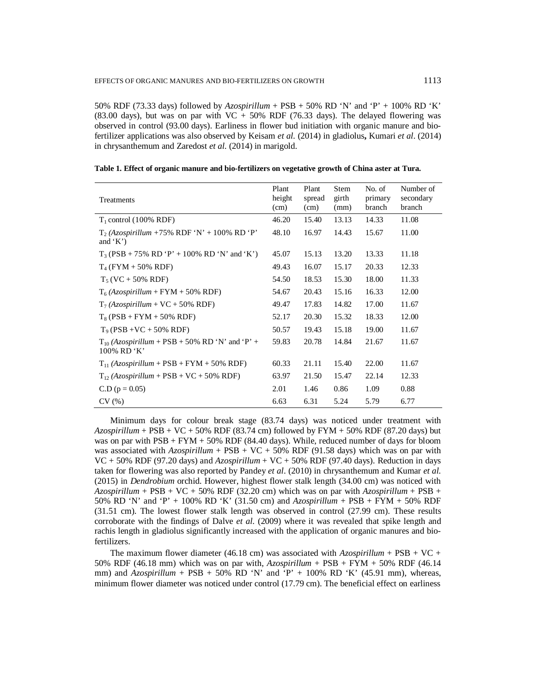50% RDF (73.33 days) followed by *Azospirillum* + PSB + 50% RD 'N' and 'P' + 100% RD 'K' (83.00 days), but was on par with  $VC + 50\%$  RDF (76.33 days). The delayed flowering was observed in control (93.00 days). Earliness in flower bud initiation with organic manure and biofertilizer applications was also observed by Keisam *et al.* (2014) in gladiolus**,** Kumari *et al*. (2014) in chrysanthemum and Zaredost *et al*. (2014) in marigold.

| Treatments                                                         | Plant<br>height<br>(cm) | Plant<br>spread<br>(cm) | <b>Stem</b><br>girth<br>(mm) | No. of<br>primary<br>branch | Number of<br>secondary<br>branch |
|--------------------------------------------------------------------|-------------------------|-------------------------|------------------------------|-----------------------------|----------------------------------|
| $T_1$ control (100% RDF)                                           | 46.20                   | 15.40                   | 13.13                        | 14.33                       | 11.08                            |
| $T_2$ (Azospirillum +75% RDF 'N' +100% RD 'P'<br>and $(K')$        | 48.10                   | 16.97                   | 14.43                        | 15.67                       | 11.00                            |
| $T_3(PSB + 75\% RD 'P' + 100\% RD 'N' and 'K')$                    | 45.07                   | 15.13                   | 13.20                        | 13.33                       | 11.18                            |
| $T_4$ (FYM + 50% RDF)                                              | 49.43                   | 16.07                   | 15.17                        | 20.33                       | 12.33                            |
| $T_5$ (VC + 50% RDF)                                               | 54.50                   | 18.53                   | 15.30                        | 18.00                       | 11.33                            |
| $T_6$ (Azospirillum + FYM + 50% RDF)                               | 54.67                   | 20.43                   | 15.16                        | 16.33                       | 12.00                            |
| $T_7$ (Azospirillum + VC + 50% RDF)                                | 49.47                   | 17.83                   | 14.82                        | 17.00                       | 11.67                            |
| $T_8 (PSB + FYM + 50\% RDF)$                                       | 52.17                   | 20.30                   | 15.32                        | 18.33                       | 12.00                            |
| $T9$ (PSB +VC + 50% RDF)                                           | 50.57                   | 19.43                   | 15.18                        | 19.00                       | 11.67                            |
| $T_{10}$ (Azospirillum + PSB + 50% RD 'N' and 'P' +<br>100% RD 'K' | 59.83                   | 20.78                   | 14.84                        | 21.67                       | 11.67                            |
| $T_{11}$ (Azospirillum + PSB + FYM + 50% RDF)                      | 60.33                   | 21.11                   | 15.40                        | 22.00                       | 11.67                            |
| $T_{12}$ (Azospirillum + PSB + VC + 50% RDF)                       | 63.97                   | 21.50                   | 15.47                        | 22.14                       | 12.33                            |
| $C.D (p = 0.05)$                                                   | 2.01                    | 1.46                    | 0.86                         | 1.09                        | 0.88                             |
| CV(%)                                                              | 6.63                    | 6.31                    | 5.24                         | 5.79                        | 6.77                             |

|  | Table 1. Effect of organic manure and bio-fertilizers on vegetative growth of China aster at Tura. |  |  |
|--|----------------------------------------------------------------------------------------------------|--|--|
|  |                                                                                                    |  |  |

Minimum days for colour break stage (83.74 days) was noticed under treatment with *Azospirillum* + PSB + VC + 50% RDF (83.74 cm) followed by FYM + 50% RDF (87.20 days) but was on par with  $PSB + FYM + 50\% RDF (84.40 days)$ . While, reduced number of days for bloom was associated with  $Azospir$ *illum* + PSB + VC + 50% RDF (91.58 days) which was on par with VC + 50% RDF (97.20 days) and  $Azospirillum + VC + 50% RDF (97.40 days)$ . Reduction in days taken for flowering was also reported by Pandey *et al*. (2010) in chrysanthemum and Kumar *et al.* (2015) in *Dendrobium* orchid. However, highest flower stalk length (34.00 cm) was noticed with *Azospirillum* + PSB + VC + 50% RDF (32.20 cm) which was on par with *Azospirillum* + PSB + 50% RD 'N' and 'P' + 100% RD 'K' (31.50 cm) and *Azospirillum* + PSB + FYM + 50% RDF (31.51 cm). The lowest flower stalk length was observed in control (27.99 cm). These results corroborate with the findings of Dalve *et al*. (2009) where it was revealed that spike length and rachis length in gladiolus significantly increased with the application of organic manures and biofertilizers.

The maximum flower diameter (46.18 cm) was associated with *Azospirillum* + PSB + VC + 50% RDF (46.18 mm) which was on par with, *Azospirillum* + PSB + FYM + 50% RDF (46.14 mm) and  $Azospirillum + PSB + 50\% \overline{RD}$  'N' and 'P' + 100% RD 'K' (45.91 mm), whereas, minimum flower diameter was noticed under control (17.79 cm). The beneficial effect on earliness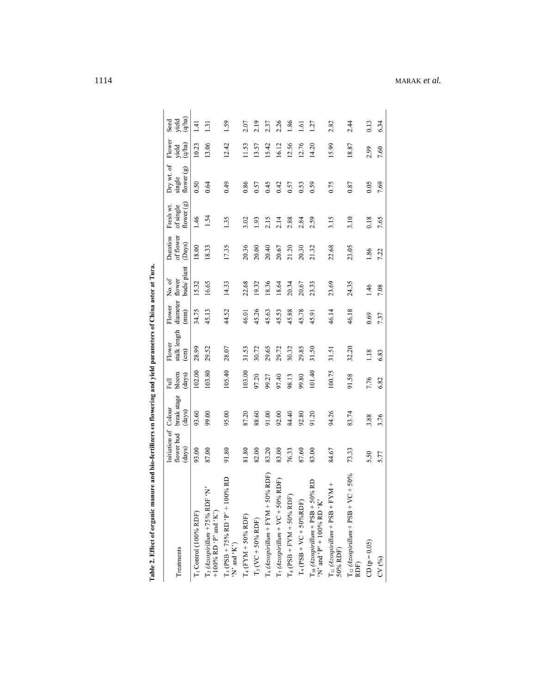| Treatments                                                                                                                                                                | Initiation of<br>flower bud | break stage<br>Colour | $b$ loom<br>Full | stalk length<br>Flower | diameter<br>Flower | No. of<br>flower | of flower<br>Duration | of single<br>Fresh wt | Dry wt. of<br>single | Flower<br>yield | yield<br>Seed |
|---------------------------------------------------------------------------------------------------------------------------------------------------------------------------|-----------------------------|-----------------------|------------------|------------------------|--------------------|------------------|-----------------------|-----------------------|----------------------|-----------------|---------------|
|                                                                                                                                                                           | (days)                      | (days)                | (days)           | $\binom{cm}{ }$        | (mm)               | buds/plant       | $(\mathrm{Days})$     | flower $(g)$          | flower (g)           | (q/ha)          | (q/ha)        |
| [1 Control (100% RDF)                                                                                                                                                     | 93.00                       | 93.60                 | 102.00           | 28.99                  | 34.75              | 15.32            | 18.00                 | 1.46                  | 0.50                 | 10.23           | 1.41          |
| ٠N,<br>$\begin{array}{l} \text{T}_2 \,(Azospirillum \,+75\% \,\, \text{RDF} \\ +100\% \,\, \text{RD} \cdot \text{P'} \,\, \text{and} \,\, ^\prime \text{K'}) \end{array}$ | 87.00                       | 99.00                 | 103.80           | 29.52                  | 45.13              | 16.65            | 18.33                 | 1.54                  | 0.64                 | 13.06           | 1.31          |
| T <sub>3</sub> (PSB + 75% RD 'P' + 100% RD<br>'N' and 'K')                                                                                                                | 91.80                       | 95.00                 | 105.40           | 28.07                  | 44.52              | 14.33            | 17.35                 | 1.35                  | 0.49                 | 12.42           | 1.59          |
| $T_4$ (FYM + 50% RDF)                                                                                                                                                     | 81.80                       | 87.20                 | 103.00           | 31.53                  | 46.01              | 22.68            | 20.36                 | 3.02                  | 0.86                 | 11.53           | 2.07          |
| $T_5$ (VC + 50% RDF)                                                                                                                                                      | 82.00                       | 88.60                 | 97.20            | 30.72                  | 45.26              | 19.32            | 20.00                 | 1.93                  | 0.57                 | 13.57           | 2.19          |
| $%$ RDF)<br>$T_6$ (Azospirillum + $FYM + 50$                                                                                                                              | 83.20                       | 91.00                 | 99.27            | 29.65                  | 45.63              | 18.36            | 20.40                 | 2.15                  | 0.45                 | 15.42           | 2.37          |
| $T_7$ (Azospirillum + VC + 50% RDF)                                                                                                                                       | 83.00                       | 92.00                 | 97.40            | 29.72                  | 45.53              | 18.64            | 20.67                 | 2.14                  | 0.42                 | 16.12           | 2.26          |
| $T_8$ (PSB + FYM + 50% RDF)                                                                                                                                               | 76.33                       | 84.40                 | 98.13            | 30.32                  | 45.88              | 20.34            | 21.20                 | 2.88                  | 0.57                 | 12.56           | 1.86          |
| $T_9$ (PSB + VC + 50%RDF)                                                                                                                                                 | 87.60                       | 92.80                 | 99.80            | 29.85                  | 45.78              | 20.67            | 20.30                 | 2.84                  | 0.53                 | 12.76           | 1.61          |
| 0% RD<br>$\begin{array}{l} \text{T}_1\text{O}\,(Azospirillum + \text{PSB} + 50 \\ \text{Y'}\text{ and 'P'} + 100\% \text{ RD 'K'} \end{array}$                            | 83.00                       | 91.20                 | 101.40           | 31.50                  | 45.91              | 23.33            | 21.32                 | 2.59                  | 0.59                 | 14.20           | 1.27          |
| $T_{11} (Azospirillum + PSB + FYM +$<br>50% RDF)                                                                                                                          | 84.67                       | 94.26                 | 100.75           | 31.51                  | 46.14              | 23.69            | 22.68                 | 3.15                  | 0.75                 | 15.99           | 2.82          |
| $T_{12}$ (Azospirillum + PSB + VC + 50%<br>RDF)                                                                                                                           | 73.33                       | 83.74                 | 91.58            | 32.20                  | 46.18              | 24.35            | 23.05                 | 3.10                  | 0.87                 | 18.87           | 2.44          |
| $CD (p = 0.05)$                                                                                                                                                           | 5.50                        | 3.88                  | 7.76             | 1.18                   | 0.69               | 1.46             | 1.86                  | 0.18                  | 0.05                 | 2.99            | 0.13          |
| CV(%)                                                                                                                                                                     | 5.77                        | 3.76                  | 6.82             | 6.83                   | 7.37               | 7.08             | 7.22                  | 7.65                  | 7.69                 | 7.60            | 6.34          |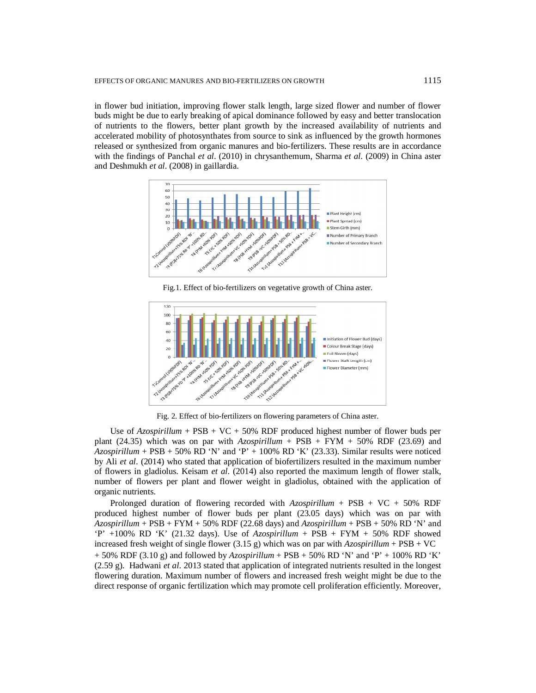in flower bud initiation, improving flower stalk length, large sized flower and number of flower buds might be due to early breaking of apical dominance followed by easy and better translocation of nutrients to the flowers, better plant growth by the increased availability of nutrients and accelerated mobility of photosynthates from source to sink as influenced by the growth hormones released or synthesized from organic manures and bio-fertilizers. These results are in accordance with the findings of Panchal *et al*. (2010) in chrysanthemum, Sharma *et al*. (2009) in China aster and Deshmukh *et al*. (2008) in gaillardia.



Fig.1. Effect of bio-fertilizers on vegetative growth of China aster.



Fig. 2. Effect of bio-fertilizers on flowering parameters of China aster.

Use of *Azospirillum* + PSB + VC + 50% RDF produced highest number of flower buds per plant  $(24.35)$  which was on par with  $Azospirillum + PSB + FYM + 50\% RDF (23.69)$  and  $Azospirillum + PSB + 50\% RD$  'N' and 'P' + 100% RD 'K' (23.33). Similar results were noticed by Ali *et al*. (2014) who stated that application of biofertilizers resulted in the maximum number of flowers in gladiolus. Keisam *et al*. (2014) also reported the maximum length of flower stalk, number of flowers per plant and flower weight in gladiolus, obtained with the application of organic nutrients.

Prolonged duration of flowering recorded with *Azospirillum* + PSB + VC + 50% RDF produced highest number of flower buds per plant (23.05 days) which was on par with *Azospirillum* + PSB + FYM + 50% RDF (22.68 days) and *Azospirillum* + PSB + 50% RD 'N' and 'P' +100% RD 'K' (21.32 days). Use of *Azospirillum* + PSB + FYM + 50% RDF showed increased fresh weight of single flower  $(3.15 g)$  which was on par with  $Azospirillum + PSB + VC$ + 50% RDF (3.10 g) and followed by *Azospirillum* + PSB + 50% RD 'N' and 'P' + 100% RD 'K' (2.59 g). Hadwani *et al*. 2013 stated that application of integrated nutrients resulted in the longest flowering duration. Maximum number of flowers and increased fresh weight might be due to the direct response of organic fertilization which may promote cell proliferation efficiently. Moreover,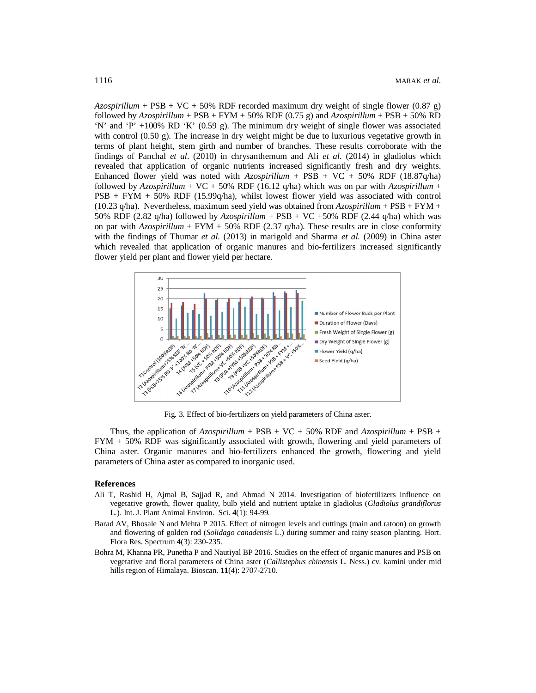*Azospirillum* + PSB + VC + 50% RDF recorded maximum dry weight of single flower (0.87 g) followed by  $Azospirillum + PSB + FYM + 50\% RDF (0.75 g)$  and  $Azospirillum + PSB + 50\% RD$ 'N' and 'P' +100% RD 'K' (0.59 g). The minimum dry weight of single flower was associated with control (0.50 g). The increase in dry weight might be due to luxurious vegetative growth in terms of plant height, stem girth and number of branches. These results corroborate with the findings of Panchal *et al*. (2010) in chrysanthemum and Ali *et al*. (2014) in gladiolus which revealed that application of organic nutrients increased significantly fresh and dry weights. Enhanced flower yield was noted with *Azospirillum* + PSB + VC + 50% RDF (18.87q/ha) followed by  $Azospirillum + VC + 50% RDF (16.12 q/ha)$  which was on par with  $Azospirillum +$ PSB + FYM + 50% RDF (15.99q/ha), whilst lowest flower yield was associated with control (10.23 q/ha). Nevertheless, maximum seed yield was obtained from  $Azospirillum + PSB + FYM +$ 50% RDF (2.82 q/ha) followed by *Azospirillum* + PSB + VC +50% RDF (2.44 q/ha) which was on par with  $Azospirillum + FYM + 50% RDF (2.37 q/ha)$ . These results are in close conformity with the findings of Thumar *et al*. (2013) in marigold and Sharma *et al.* (2009) in China aster which revealed that application of organic manures and bio-fertilizers increased significantly flower yield per plant and flower yield per hectare.



Fig. 3. Effect of bio-fertilizers on yield parameters of China aster.

Thus, the application of  $Azospirillum + PSB + VC + 50\% RDF$  and  $Azospirillum + PSB +$ FYM + 50% RDF was significantly associated with growth, flowering and yield parameters of China aster. Organic manures and bio-fertilizers enhanced the growth, flowering and yield parameters of China aster as compared to inorganic used.

#### **References**

- Ali T, Rashid H, Ajmal B, Sajjad R, and Ahmad N 2014. Investigation of biofertilizers influence on vegetative growth, flower quality, bulb yield and nutrient uptake in gladiolus (*Gladiolus grandiflorus* L.). Int. J. Plant Animal Environ. Sci. **4**(1): 94-99.
- Barad AV, Bhosale N and Mehta P 2015. Effect of nitrogen levels and cuttings (main and ratoon) on growth and flowering of golden rod (*Solidago canadensis* L.) during summer and rainy season planting. Hort. Flora Res. Spectrum **4**(3): 230-235.
- Bohra M, Khanna PR, Punetha P and Nautiyal BP 2016. Studies on the effect of organic manures and PSB on vegetative and floral parameters of China aster (*Callistephus chinensis* L. Ness.) cv. kamini under mid hills region of Himalaya. Bioscan. **11**(4): 2707-2710.